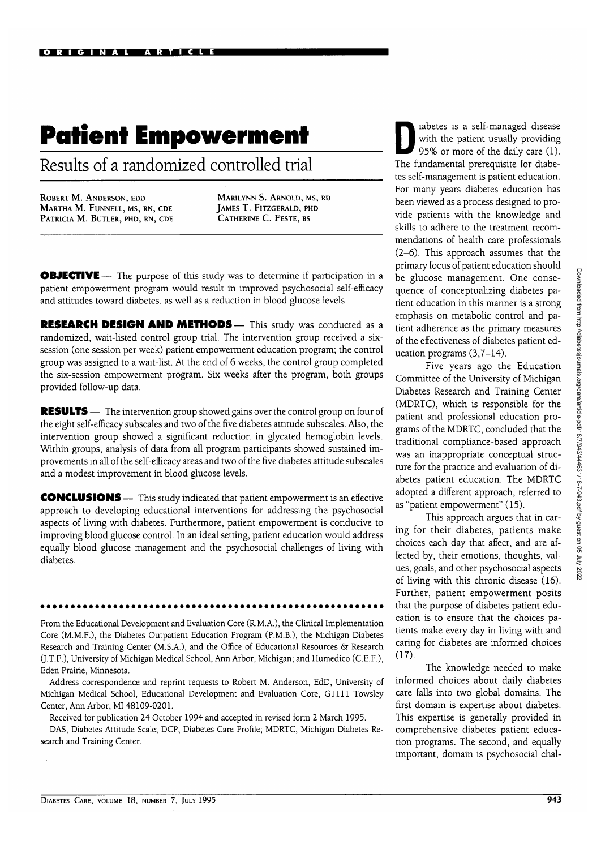**ORIGINA L ARTICL E**

# **Patient Empowerment**

Results of a randomized controlled trial

ROBERT M. ANDERSON, EDD MARTHA M. FUNNELL, MS, RN, CDE PATRICIA M. BUTLER, PHD, RN, CDE

MARILYNN S. ARNOLD, MS, RD JAMES T. FITZGERALD, PHD CATHERINE C. FESTE, BS

**OBJECTIVE** — The purpose of this study was to determine if participation in a patient empowerment program would result in improved psychosocial self-efficacy and attitudes toward diabetes, as well as a reduction in blood glucose levels.

**RESEARCH DESIGN AND METHODS** - This study was conducted as a randomized, wait-listed control group trial. The intervention group received a sixsession (one session per week) patient empowerment education program; the control group was assigned to a wait-list. At the end of 6 weeks, the control group completed the six-session empowerment program. Six weeks after the program, both groups provided follow-up data.

**RESULTS** — The intervention group showed gains over the control group on four of the eight self-efficacy subscales and two of the five diabetes attitude subscales. Also, the intervention group showed a significant reduction in glycated hemoglobin levels. Within groups, analysis of data from all program participants showed sustained improvements in all of the self-efficacy areas and two of the five diabetes attitude subscales and a modest improvement in blood glucose levels.

**CONCLUSIONS** — This study indicated that patient empowerment is an effective approach to developing educational interventions for addressing the psychosocial aspects of living with diabetes. Furthermore, patient empowerment is conducive to improving blood glucose control. In an ideal setting, patient education would address equally blood glucose management and the psychosocial challenges of living with diabetes.

From the Educational Development and Evaluation Core (R.M.A.), the Clinical Implementation Core (M.M.F.), the Diabetes Outpatient Education Program (P.M.B.), the Michigan Diabetes Research and Training Center (M.S.A.), and the Office of Educational Resources & Research (J.T.F.), University of Michigan Medical School, Ann Arbor, Michigan; and Humedico (C.E.F.), Eden Prairie, Minnesota.

Address correspondence and reprint requests to Robert M. Anderson, EdD, University of Michigan Medical School, Educational Development and Evaluation Core, Gl 111 Towsley Center, Ann Arbor, MI 48109-0201.

Received for publication 24 October 1994 and accepted in revised form 2 March 1995.

DAS, Diabetes Attitude Scale; DCP, Diabetes Care Profile; MDRTC, Michigan Diabetes Research and Training Center.

Inductes is a self-managed disease<br>with the patient usually providing<br>95% or more of the daily care (1). with the patient usually providing The fundamental prerequisite for diabetes self-management is patient education. For many years diabetes education has been viewed as a process designed to provide patients with the knowledge and skills to adhere to the treatment recommendations of health care professionals (2-6). This approach assumes that the primary focus of patient education should be glucose management. One consequence of conceptualizing diabetes patient education in this manner is a strong emphasis on metabolic control and patient adherence as the primary measures of the effectiveness of diabetes patient education programs (3,7-14).

Five years ago the Education Committee of the University of Michigan Diabetes Research and Training Center (MDRTC), which is responsible for the patient and professional education programs of the MDRTC, concluded that the traditional compliance-based approach was an inappropriate conceptual structure for the practice and evaluation of diabetes patient education. The MDRTC adopted a different approach, referred to as "patient empowerment" (15).

This approach argues that in caring for their diabetes, patients make choices each day that affect, and are affected by, their emotions, thoughts, values, goals, and other psychosocial aspects of living with this chronic disease (16). Further, patient empowerment posits that the purpose of diabetes patient education is to ensure that the choices patients make every day in living with and caring for diabetes are informed choices (17).

The knowledge needed to make informed choices about daily diabetes care falls into two global domains. The first domain is expertise about diabetes. This expertise is generally provided in comprehensive diabetes patient education programs. The second, and equally important, domain is psychosocial chal-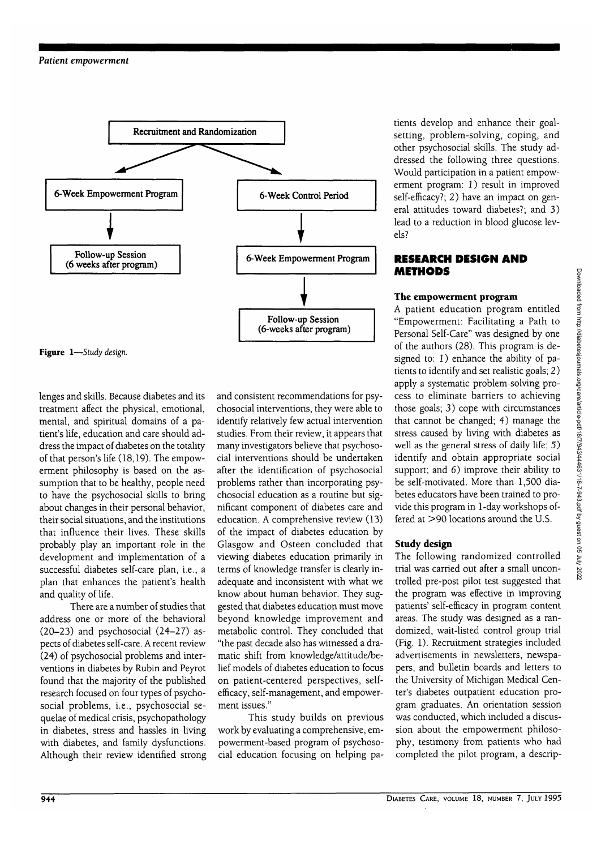

**Figure 1**—Study *design.*

lenges and skills. Because diabetes and its treatment affect the physical, emotional, mental, and spiritual domains of a patient's life, education and care should address the impact of diabetes on the totality of that person's life (18,19). The empowerment philosophy is based on the assumption that to be healthy, people need to have the psychosocial skills to bring about changes in their personal behavior, their social situations, and the institutions that influence their lives. These skills probably play an important role in the development and implementation of a successful diabetes self-care plan, i.e., a plan that enhances the patient's health and quality of life.

There are a number of studies that address one or more of the behavioral (20-23) and psychosocial (24-27) aspects of diabetes self-care. A recent review (24) of psychosocial problems and interventions in diabetes by Rubin and Peyrot found that the majority of the published research focused on four types of psychosocial problems, i.e., psychosocial sequelae of medical crisis, psychopathology in diabetes, stress and hassles in living with diabetes, and family dysfunctions. Although their review identified strong and consistent recommendations for psychosocial interventions, they were able to identify relatively few actual intervention studies. From their review, it appears that many investigators believe that psychosocial interventions should be undertaken after the identification of psychosocial problems rather than incorporating psychosocial education as a routine but significant component of diabetes care and education. A comprehensive review (13) of the impact of diabetes education by Glasgow and Osteen concluded that viewing diabetes education primarily in terms of knowledge transfer is clearly inadequate and inconsistent with what we know about human behavior. They suggested that diabetes education must move beyond knowledge improvement and metabolic control. They concluded that "the past decade also has witnessed a dramatic shift from knowledge/attitude/belief models of diabetes education to focus on patient-centered perspectives, selfefficacy, self-management, and empowerment issues."

This study builds on previous work by evaluating a comprehensive, empowerment-based program of psychosocial education focusing on helping pa-

tients develop and enhance their goalsetting, problem-solving, coping, and other psychosocial skills. The study addressed the following three questions. Would participation in a patient empowerment program: 1) result in improved self-efficacy?; 2) have an impact on general attitudes toward diabetes?; and 3) lead to a reduction in blood glucose levels?

## **RESEARCH DESIGN AND METHODS**

## **The empowerment program**

A patient education program entitled "Empowerment: Facilitating a Path to Personal Self-Care" was designed by one of the authors (28). This program is designed to: *1*) enhance the ability of patients to identify and set realistic goals; 2) apply a systematic problem-solving process to eliminate barriers to achieving those goals; 3) cope with circumstances that cannot be changed; 4) manage the stress caused by living with diabetes as well as the general stress of daily life; 5) identify and obtain appropriate social support; and 6) improve their ability to be self-motivated. More than 1,500 diabetes educators have been trained to provide this program in 1-day workshops offered at >90 locations around the U.S.

## **Study design**

The following randomized controlled trial was carried out after a small uncontrolled pre-post pilot test suggested that the program was effective in improving patients' self-efficacy in program content areas. The study was designed as a randomized, wait-listed control group trial (Fig. 1). Recruitment strategies included advertisements in newsletters, newspapers, and bulletin boards and letters to the University of Michigan Medical Center's diabetes outpatient education program graduates. An orientation session was conducted, which included a discussion about the empowerment philosophy, testimony from patients who had completed the pilot program, a descrip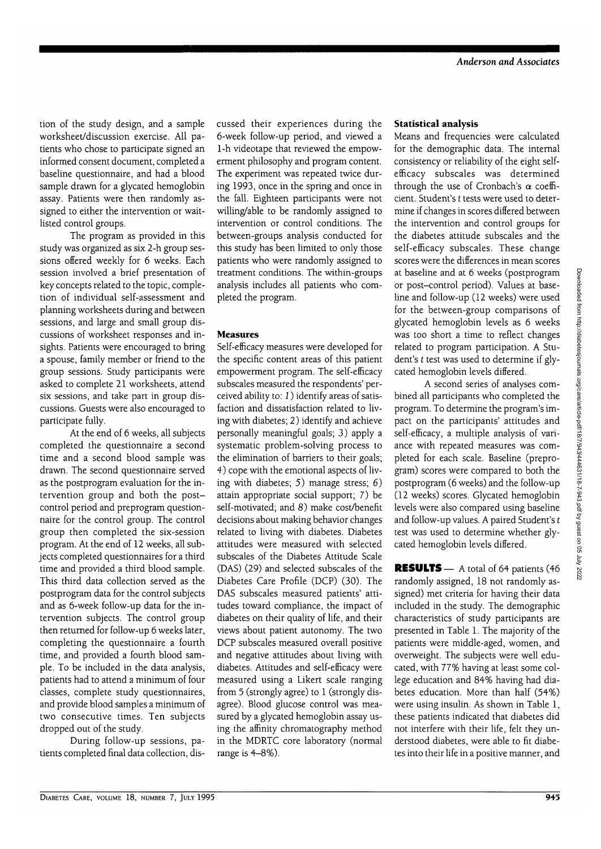tion of the study design, and a sample worksheet/discussion exercise. All patients who chose to participate signed an informed consent document, completed a baseline questionnaire, and had a blood sample drawn for a glycated hemoglobin assay. Patients were then randomly assigned to either the intervention or waitlisted control groups.

The program as provided in this study was organized as six 2-h group sessions offered weekly for 6 weeks. Each session involved a brief presentation of key concepts related to the topic, completion of individual self-assessment and planning worksheets during and between sessions, and large and small group discussions of worksheet responses and insights. Patients were encouraged to bring a spouse, family member or friend to the group sessions. Study participants were asked to complete 21 worksheets, attend six sessions, and take part in group discussions. Guests were also encouraged to participate fully.

At the end of 6 weeks, all subjects completed the questionnaire a second time and a second blood sample was drawn. The second questionnaire served as the postprogram evaluation for the intervention group and both the postcontrol period and preprogram questionnaire for the control group. The control group then completed the six-session program. At the end of 12 weeks, all subjects completed questionnaires for a third time and provided a third blood sample. This third data collection served as the postprogram data for the control subjects and as 6-week follow-up data for the intervention subjects. The control group then returned for follow-up 6 weeks later, completing the questionnaire a fourth time, and provided a fourth blood sample. To be included in the data analysis, patients had to attend a minimum of four classes, complete study questionnaires, and provide blood samples a minimum of two consecutive times. Ten subjects dropped out of the study.

During follow-up sessions, patients completed final data collection, discussed their experiences during the 6-week follow-up period, and viewed a 1-h videotape that reviewed the empowerment philosophy and program content. The experiment was repeated twice during 1993, once in the spring and once in the fall. Eighteen participants were not willing/able to be randomly assigned to intervention or control conditions. The between-groups analysis conducted for this study has been limited to only those patients who were randomly assigned to treatment conditions. The within-groups analysis includes all patients who completed the program.

## **Measures**

Self-efficacy measures were developed for the specific content areas of this patient empowerment program. The self-efficacy subscales measured the respondents' perceived ability *to: 1)* identify areas of satisfaction and dissatisfaction related to living with diabetes; 2) identify and achieve personally meaningful goals; 3) apply a systematic problem-solving process to the elimination of barriers to their goals; 4) cope with the emotional aspects of living with diabetes; 5) manage stress; 6) attain appropriate social support; 7) be self-motivated; and 8) make cost/benefit decisions about making behavior changes related to living with diabetes. Diabetes attitudes were measured with selected subscales of the Diabetes Attitude Scale (DAS) (29) and selected subscales of the Diabetes Care Profile (DCP) (30). The DAS subscales measured patients' attitudes toward compliance, the impact of diabetes on their quality of life, and their views about patient autonomy. The two DCP subscales measured overall positive and negative attitudes about living with diabetes. Attitudes and self-efficacy were measured using a Likert scale ranging from 5 (strongly agree) to 1 (strongly disagree). Blood glucose control was measured by a glycated hemoglobin assay using the affinity chromatography method in the MDRTC core laboratory (normal range is 4-8%).

## **Statistical analysis**

Means and frequencies were calculated for the demographic data. The internal consistency or reliability of the eight selfefficacy subscales was determined through the use of Cronbach's  $\alpha$  coefficient. Student's *t* tests were used to determine if changes in scores differed between the intervention and control groups for the diabetes attitude subscales and the self-efficacy subscales. These change scores were the differences in mean scores at baseline and at 6 weeks (postprogram or post-control period). Values at baseline and follow-up (12 weeks) were used for the between-group comparisons of glycated hemoglobin levels as 6 weeks was too short a time to reflect changes related to program participation. A Student's *t* test was used to determine if glycated hemoglobin levels differed.

A second series of analyses combined all participants who completed the program. To determine the program's impact on the participants' attitudes and self-efficacy, a multiple analysis of variance with repeated measures was completed for each scale. Baseline (preprogram) scores were compared to both the postprogram (6 weeks) and the follow-up (12 weeks) scores. Glycated hemoglobin levels were also compared using baseline and follow-up values. A paired Student's *t* test was used to determine whether glycated hemoglobin levels differed.

**RESULTS** — A total of 64 patients (46 randomly assigned, 18 not randomly assigned) met criteria for having their data included in the study. The demographic characteristics of study participants are presented in Table 1. The majority of the patients were middle-aged, women, and overweight. The subjects were well educated, with 77% having at least some college education and 84% having had diabetes education. More than half (54%) were using insulin. As shown in Table 1, these patients indicated that diabetes did not interfere with their life, felt they understood diabetes, were able to fit diabetes into their life in a positive manner, and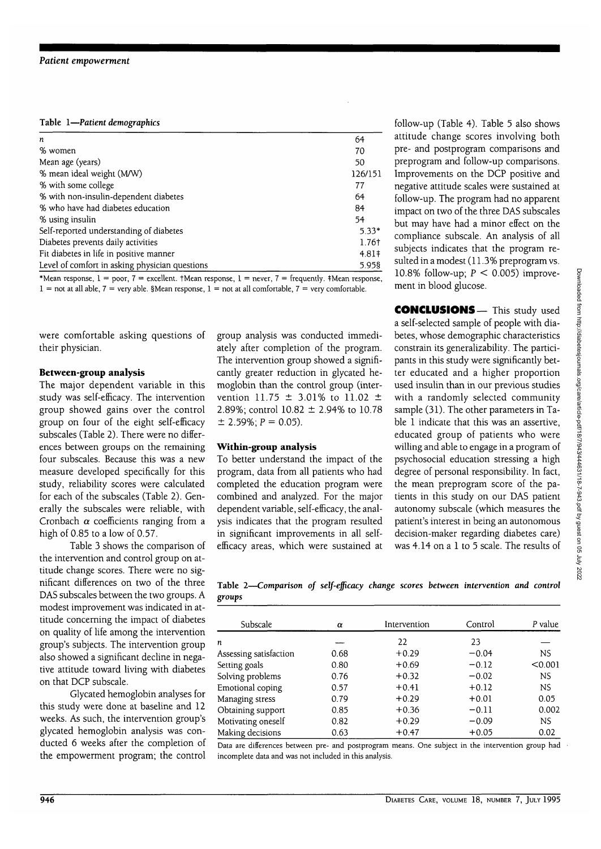#### **Table 1—***Patient demographics*

| n                                              | 64      |
|------------------------------------------------|---------|
| % women                                        | 70      |
| Mean age (years)                               | 50      |
| % mean ideal weight (M/W)                      | 126/151 |
| % with some college                            | 77      |
| % with non-insulin-dependent diabetes          | 64      |
| % who have had diabetes education              | 84      |
| % using insulin                                | 54      |
| Self-reported understanding of diabetes        | $5.33*$ |
| Diabetes prevents daily activities             | 1.76†   |
| Fit diabetes in life in positive manner        | 4.81‡   |
| Level of comfort in asking physician questions | 5.95§   |
|                                                |         |

\*Mean response,  $1 = poor$ ,  $7 = excellent$ . †Mean response,  $1 = never$ ,  $7 = frequently$ . ‡Mean response,  $1 =$  not at all able,  $7 =$  very able. §Mean response,  $1 =$  not at all comfortable,  $7 =$  very comfortable.

were comfortable asking questions of their physician.

#### **Between-group analysis**

The major dependent variable in this study was self-efficacy. The intervention group showed gains over the control group on four of the eight self-efficacy subscales (Table 2). There were no differences between groups on the remaining four subscales. Because this was a new measure developed specifically for this study, reliability scores were calculated for each of the subscales (Table 2). Generally the subscales were reliable, with Cronbach *a* coefficients ranging from a high of 0.85 to a low of 0.57.

Table 3 shows the comparison of the intervention and control group on attitude change scores. There were no significant differences on two of the three DAS subscales between the two groups. A modest improvement was indicated in attitude concerning the impact of diabetes on quality of life among the intervention group's subjects. The intervention group also showed a significant decline in negative attitude toward living with diabetes on that DCP subscale.

Glycated hemoglobin analyses for this study were done at baseline and 12 weeks. As such, the intervention group's glycated hemoglobin analysis was conducted 6 weeks after the completion of the empowerment program; the control

group analysis was conducted immediately after completion of the program. The intervention group showed a significantly greater reduction in glycated hemoglobin than the control group (intervention 11.75 ± 3.01% to 11.02 ± 2.89%; control 10.82 ± 2.94% to 10.78  $\pm$  2.59%; P = 0.05).

### **Within-group analysis**

To better understand the impact of the program, data from all patients who had completed the education program were combined and analyzed. For the major dependent variable, self-efficacy, the analysis indicates that the program resulted in significant improvements in all selfefficacy areas, which were sustained at follow-up (Table 4). Table 5 also shows attitude change scores involving both pre- and postprogram comparisons and preprogram and follow-up comparisons. Improvements on the DCP positive and negative attitude scales were sustained at follow-up. The program had no apparent impact on two of the three DAS subscales but may have had a minor effect on the compliance subscale. An analysis of all subjects indicates that the program resulted in a modest (11.3% preprogram vs. 10.8% follow-up;  $P \le 0.005$ ) improvement in blood glucose.

**CONCLUSIONS—** This study used a self-selected sample of people with diabetes, whose demographic characteristics constrain its generalizability. The participants in this study were significantly better educated and a higher proportion used insulin than in our previous studies with a randomly selected community sample (31). The other parameters in Table 1 indicate that this was an assertive, educated group of patients who were willing and able to engage in a program of psychosocial education stressing a high degree of personal responsibility. In fact, the mean preprogram score of the patients in this study on our DAS patient autonomy subscale (which measures the patient's interest in being an autonomous decision-maker regarding diabetes care) was 4.14 on a 1 to 5 scale. The results of

**Table 2—***Comparison of selj-efficacy change scores between intervention and control groups*

| Subscale               | $\alpha$ | Intervention | Control | P value   |
|------------------------|----------|--------------|---------|-----------|
| n                      |          | 22           | 23      |           |
| Assessing satisfaction | 0.68     | $+0.29$      | $-0.04$ | <b>NS</b> |
| Setting goals          | 0.80     | $+0.69$      | $-0.12$ | < 0.001   |
| Solving problems       | 0.76     | $+0.32$      | $-0.02$ | <b>NS</b> |
| Emotional coping       | 0.57     | $+0.41$      | $+0.12$ | <b>NS</b> |
| Managing stress        | 0.79     | $+0.29$      | $+0.01$ | 0.05      |
| Obtaining support      | 0.85     | $+0.36$      | $-0.11$ | 0.002     |
| Motivating oneself     | 0.82     | $+0.29$      | $-0.09$ | <b>NS</b> |
| Making decisions       | 0.63     | $+0.47$      | $+0.05$ | 0.02      |
|                        |          |              |         |           |

Data are differences between pre- and postprogram means. One subject in the intervention group had incomplete data and was not included in this analysis.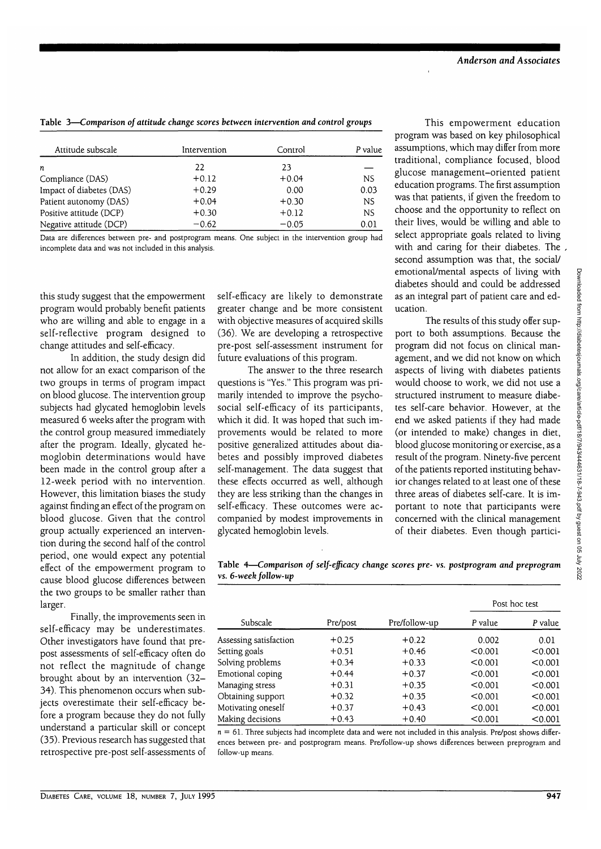## **Table 3—***Comparison of attitude change scores between intervention and control groups*

| Attitude subscale        | Intervention | Control | P value |
|--------------------------|--------------|---------|---------|
| n                        | 22           | 23      |         |
| Compliance (DAS)         | $+0.12$      | $+0.04$ | NS      |
| Impact of diabetes (DAS) | $+0.29$      | 0.00    | 0.03    |
| Patient autonomy (DAS)   | $+0.04$      | $+0.30$ | NS      |
| Positive attitude (DCP)  | $+0.30$      | $+0.12$ | NS      |
| Negative attitude (DCP)  | $-0.62$      | $-0.05$ | 0.01    |

Data are differences between pre- and postprogram means. One subject in the intervention group had incomplete data and was not included in this analysis.

this study suggest that the empowerment program would probably benefit patients who are willing and able to engage in a self-reflective program designed to change attitudes and self-efficacy.

In addition, the study design did not allow for an exact comparison of the two groups in terms of program impact on blood glucose. The intervention group subjects had glycated hemoglobin levels measured 6 weeks after the program with the control group measured immediately after the program. Ideally, glycated hemoglobin determinations would have been made in the control group after a 12-week period with no intervention. However, this limitation biases the study against finding an effect of the program on blood glucose. Given that the control group actually experienced an intervention during the second half of the control period, one would expect any potential effect of the empowerment program to cause blood glucose differences between the two groups to be smaller rather than larger.

Finally, the improvements seen in self-efficacy may be underestimates. Other investigators have found that prepost assessments of self-efficacy often do not reflect the magnitude of change brought about by an intervention (32- 34). This phenomenon occurs when subjects overestimate their self-efficacy before a program because they do not fully understand a particular skill or concept (35). Previous research has suggested that retrospective pre-post self-assessments of self-efficacy are likely to demonstrate greater change and be more consistent with objective measures of acquired skills (36). We are developing a retrospective pre-post self-assessment instrument for future evaluations of this program.

The answer to the three research questions is "Yes." This program was primarily intended to improve the psychosocial self-efficacy of its participants, which it did. It was hoped that such improvements would be related to more positive generalized attitudes about diabetes and possibly improved diabetes self-management. The data suggest that these effects occurred as well, although they are less striking than the changes in self-efficacy. These outcomes were accompanied by modest improvements in glycated hemoglobin levels.

This empowerment education program was based on key philosophical assumptions, which may differ from more traditional, compliance focused, blood glucose management-oriented patient education programs. The first assumption was that patients, if given the freedom to choose and the opportunity to reflect on their lives, would be willing and able to select appropriate goals related to living with and caring for their diabetes. The , second assumption was that, the social/ emotional/mental aspects of living with diabetes should and could be addressed as an integral part of patient care and education.

The results of this study offer support to both assumptions. Because the program did not focus on clinical management, and we did not know on which aspects of living with diabetes patients would choose to work, we did not use a structured instrument to measure diabetes self-care behavior. However, at the end we asked patients if they had made (or intended to make) changes in diet, blood glucose monitoring or exercise, as a result of the program. Ninety-five percent of the patients reported instituting behavior changes related to at least one of these three areas of diabetes self-care. It is important to note that participants were concerned with the clinical management of their diabetes. Even though partici-

**Table 4—***Comparison of self-efficacy change scores pre-* **vs.** *postprogram and preprogram* **vs.** *6-week follow-up*

| Subscale               | Pre/post | Pre/follow-up | Post hoc test |         |
|------------------------|----------|---------------|---------------|---------|
|                        |          |               | P value       | P value |
| Assessing satisfaction | $+0.25$  | $+0.22$       | 0.002         | 0.01    |
| Setting goals          | $+0.51$  | $+0.46$       | < 0.001       | < 0.001 |
| Solving problems       | $+0.34$  | $+0.33$       | < 0.001       | < 0.001 |
| Emotional coping       | $+0.44$  | $+0.37$       | < 0.001       | < 0.001 |
| Managing stress        | $+0.31$  | $+0.35$       | < 0.001       | < 0.001 |
| Obtaining support      | $+0.32$  | $+0.35$       | < 0.001       | < 0.001 |
| Motivating oneself     | $+0.37$  | $+0.43$       | < 0.001       | < 0.001 |
| Making decisions       | $+0.43$  | $+0.40$       | < 0.001       | < 0.001 |

 $n = 61$ . Three subjects had incomplete data and were not included in this analysis. Pre/post shows differences between pre- and postprogram means. Pre/follow-up shows differences between preprogram and follow-up means.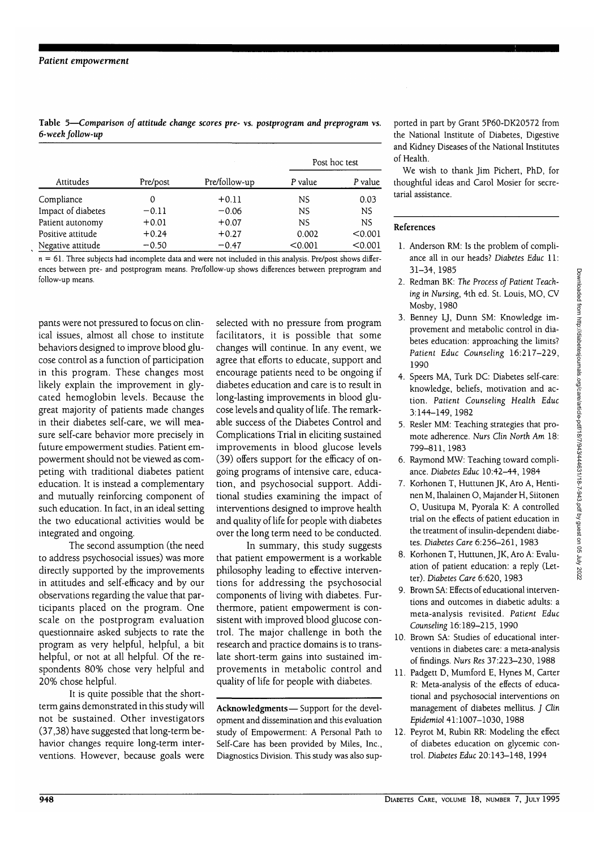**Table 5—***Comparison of attitude change scores pre- vs. postprogram and preprogram* vs. *6-week follow-up*

| Attitudes          | Pre/post | Pre/follow-up | Post hoc test |           |
|--------------------|----------|---------------|---------------|-----------|
|                    |          |               | P value       | P value   |
| Compliance         | 0        | $+0.11$       | ΝS            | 0.03      |
| Impact of diabetes | $-0.11$  | $-0.06$       | NS            | NS.       |
| Patient autonomy   | $+0.01$  | $+0.07$       | NS            | <b>NS</b> |
| Positive attitude  | $+0.24$  | $+0.27$       | 0.002         | < 0.001   |
| Negative attitude  | $-0.50$  | $-0.47$       | < 0.001       | < 0.001   |

 $n = 61$ . Three subjects had incomplete data and were not included in this analysis. Pre/post shows differences between pre- and postprogram means. Pre/follow-up shows differences between preprogram and follow-up means.

pants were not pressured to focus on clinical issues, almost all chose to institute behaviors designed to improve blood glucose control as a function of participation in this program. These changes most likely explain the improvement in glycated hemoglobin levels. Because the great majority of patients made changes in their diabetes self-care, we will measure self-care behavior more precisely in future empowerment studies. Patient empowerment should not be viewed as competing with traditional diabetes patient education. It is instead a complementary and mutually reinforcing component of such education. In fact, in an ideal setting the two educational activities would be integrated and ongoing.

The second assumption (the need to address psychosocial issues) was more directly supported by the improvements in attitudes and self-efficacy and by our observations regarding the value that participants placed on the program. One scale on the postprogram evaluation questionnaire asked subjects to rate the program as very helpful, helpful, a bit helpful, or not at all helpful. Of the respondents 80% chose very helpful and 20% chose helpful.

It is quite possible that the shortterm gains demonstrated in this study will not be sustained. Other investigators (37,38) have suggested that long-term behavior changes require long-term interventions. However, because goals were

selected with no pressure from program facilitators, it is possible that some changes will continue. In any event, we agree that efforts to educate, support and encourage patients need to be ongoing if diabetes education and care is to result in long-lasting improvements in blood glucose levels and quality of life. The remarkable success of the Diabetes Control and Complications Trial in eliciting sustained improvements in blood glucose levels (39) offers support for the efficacy of ongoing programs of intensive care, education, and psychosocial support. Additional studies examining the impact of interventions designed to improve health and quality of life for people with diabetes over the long term need to be conducted.

In summary, this study suggests that patient empowerment is a workable philosophy leading to effective interventions for addressing the psychosocial components of living with diabetes. Furthermore, patient empowerment is consistent with improved blood glucose control. The major challenge in both the research and practice domains is to translate short-term gains into sustained improvements in metabolic control and quality of life for people with diabetes.

**Acknowledgments**—Support for the development and dissemination and this evaluation study of Empowerment: A Personal Path to Self-Care has been provided by Miles, Inc., Diagnostics Division. This study was also supported in part by Grant 5P60-DK20572 from the National Institute of Diabetes, Digestive and Kidney Diseases of the National Institutes of Health.

We wish to thank Jim Pichert, PhD, for thoughtful ideas and Carol Mosier for secretarial assistance.

#### **References**

- 1. Anderson RM: Is the problem of compliance all in our heads? *Diabetes Educ* 11: 31-34, 1985
- 2. Redman BK: *The Process of Patient Teaching in Nursing,* 4th ed. St. Louis, MO, CV Mosby, 1980
- 3. Benney LJ, Dunn SM: Knowledge improvement and metabolic control in diabetes education: approaching the limits? *Patient Educ Counseling* 16:217-229, 1990
- 4. Speers MA, Turk DC: Diabetes self-care: knowledge, beliefs, motivation and action. *Patient Counseling Health Educ* 3:144-149, 1982
- 5. Resler MM: Teaching strategies that promote adherence. *Nurs Clin North Am* 18: 799-811, 1983
- 6. Raymond MW: Teaching toward compliance. *Diabetes Educ* 10:42-44, 1984
- 7. Korhonen T, Huttunen JK, Aro A, Hentinen M, Ihalainen O, Majander H, Siitonen O, Uusitupa M, Pyorala K: A controlled trial on the effects of patient education in the treatment of insulin-dependent diabetes. *Diabetes Care* 6:256-261, 1983
- 8. Korhonen T, Huttunen, JK, Aro A: Evaluation of patient education: a reply (Letter). *Diabetes Care* 6:620, 1983
- 9. Brown SA: Effects of educational interventions and outcomes in diabetic adults: a meta-analysis revisited. *Patient Educ Counseling* 16:189-215, 1990
- 10. Brown SA: Studies of educational interventions in diabetes care: a meta-analysis of findings. *Nurs Res* 37:223-230, 1988
- 11. Padgett D, Mumford E, Hynes M, Carter R: Meta-analysis of the effects of educational and psychosocial interventions on management of diabetes mellitus. *J Clin Epidemiol* 41:1007-1030, 1988
- 12. Peyrot M, Rubin RR: Modeling the effect of diabetes education on glycemic control. *Diabetes Educ* 20:143-148, 1994